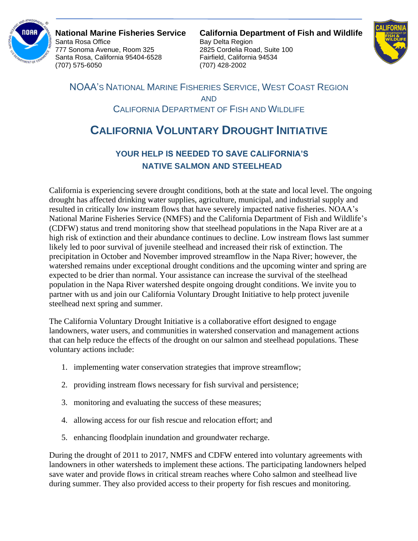

777 Sonoma Avenue, Room 325 2825 Cordelia Road, Suite 100 Santa Rosa, California 95404-6528 Fairfield, California 94534 (707) 575-6050 (707) 428-2002

**National Marine Fisheries Service California Department of Fish and Wildlife** Bay Delta Region



NOAA'S NATIONAL MARINE FISHERIES SERVICE, WEST COAST REGION AND CALIFORNIA DEPARTMENT OF FISH AND WILDLIFE

## **CALIFORNIA VOLUNTARY DROUGHT INITIATIVE**

## **YOUR HELP IS NEEDED TO SAVE CALIFORNIA'S NATIVE SALMON AND STEELHEAD**

California is experiencing severe drought conditions, both at the state and local level. The ongoing drought has affected drinking water supplies, agriculture, municipal, and industrial supply and resulted in critically low instream flows that have severely impacted native fisheries. NOAA's National Marine Fisheries Service (NMFS) and the California Department of Fish and Wildlife's (CDFW) status and trend monitoring show that steelhead populations in the Napa River are at a high risk of extinction and their abundance continues to decline. Low instream flows last summer likely led to poor survival of juvenile steelhead and increased their risk of extinction. The precipitation in October and November improved streamflow in the Napa River; however, the watershed remains under exceptional drought conditions and the upcoming winter and spring are expected to be drier than normal. Your assistance can increase the survival of the steelhead population in the Napa River watershed despite ongoing drought conditions. We invite you to partner with us and join our California Voluntary Drought Initiative to help protect juvenile steelhead next spring and summer.

The California Voluntary Drought Initiative is a collaborative effort designed to engage landowners, water users, and communities in watershed conservation and management actions that can help reduce the effects of the drought on our salmon and steelhead populations. These voluntary actions include:

- 1. implementing water conservation strategies that improve streamflow;
- 2. providing instream flows necessary for fish survival and persistence;
- 3. monitoring and evaluating the success of these measures;
- 4. allowing access for our fish rescue and relocation effort; and
- 5. enhancing floodplain inundation and groundwater recharge.

During the drought of 2011 to 2017, NMFS and CDFW entered into voluntary agreements with landowners in other watersheds to implement these actions. The participating landowners helped save water and provide flows in critical stream reaches where Coho salmon and steelhead live during summer. They also provided access to their property for fish rescues and monitoring.